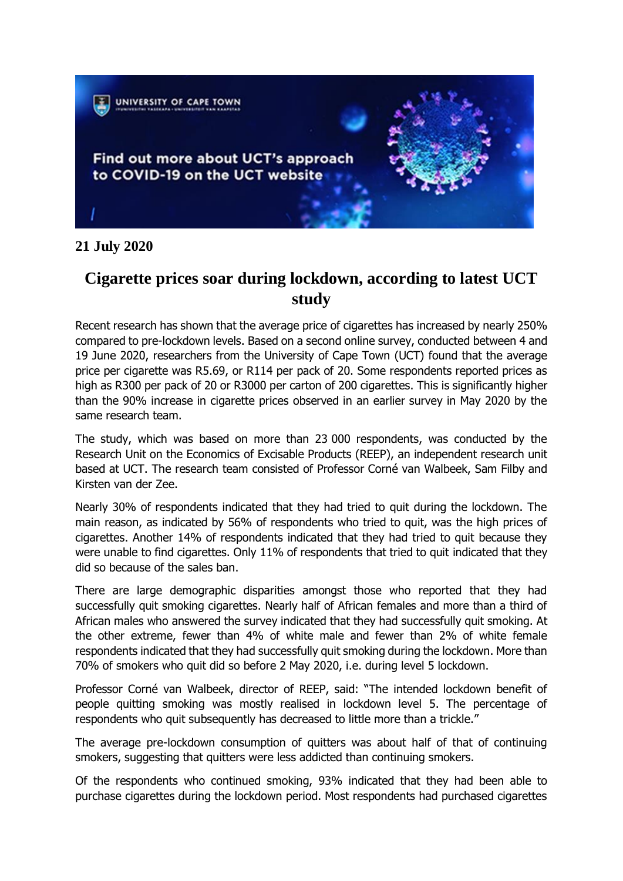

## **21 July 2020**

# **Cigarette prices soar during lockdown, according to latest UCT study**

Recent research has shown that the average price of cigarettes has increased by nearly 250% compared to pre-lockdown levels. Based on a second online survey, conducted between 4 and 19 June 2020, researchers from the University of Cape Town (UCT) found that the average price per cigarette was R5.69, or R114 per pack of 20. Some respondents reported prices as high as R300 per pack of 20 or R3000 per carton of 200 cigarettes. This is significantly higher than the 90% increase in cigarette prices observed in an earlier survey in May 2020 by the same research team.

The study, which was based on more than 23 000 respondents, was conducted by the Research Unit on the Economics of Excisable Products (REEP), an independent research unit based at UCT. The research team consisted of Professor Corné van Walbeek, Sam Filby and Kirsten van der Zee.

Nearly 30% of respondents indicated that they had tried to quit during the lockdown. The main reason, as indicated by 56% of respondents who tried to quit, was the high prices of cigarettes. Another 14% of respondents indicated that they had tried to quit because they were unable to find cigarettes. Only 11% of respondents that tried to quit indicated that they did so because of the sales ban.

There are large demographic disparities amongst those who reported that they had successfully quit smoking cigarettes. Nearly half of African females and more than a third of African males who answered the survey indicated that they had successfully quit smoking. At the other extreme, fewer than 4% of white male and fewer than 2% of white female respondents indicated that they had successfully quit smoking during the lockdown. More than 70% of smokers who quit did so before 2 May 2020, i.e. during level 5 lockdown.

Professor Corné van Walbeek, director of REEP, said: "The intended lockdown benefit of people quitting smoking was mostly realised in lockdown level 5. The percentage of respondents who quit subsequently has decreased to little more than a trickle."

The average pre-lockdown consumption of quitters was about half of that of continuing smokers, suggesting that quitters were less addicted than continuing smokers.

Of the respondents who continued smoking, 93% indicated that they had been able to purchase cigarettes during the lockdown period. Most respondents had purchased cigarettes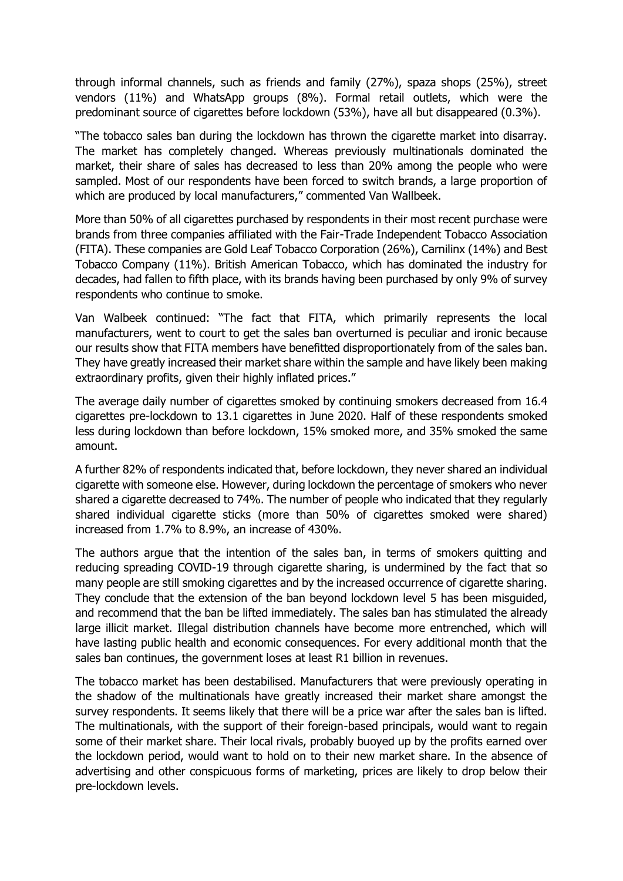through informal channels, such as friends and family (27%), spaza shops (25%), street vendors (11%) and WhatsApp groups (8%). Formal retail outlets, which were the predominant source of cigarettes before lockdown (53%), have all but disappeared (0.3%).

"The tobacco sales ban during the lockdown has thrown the cigarette market into disarray. The market has completely changed. Whereas previously multinationals dominated the market, their share of sales has decreased to less than 20% among the people who were sampled. Most of our respondents have been forced to switch brands, a large proportion of which are produced by local manufacturers," commented Van Wallbeek.

More than 50% of all cigarettes purchased by respondents in their most recent purchase were brands from three companies affiliated with the Fair-Trade Independent Tobacco Association (FITA). These companies are Gold Leaf Tobacco Corporation (26%), Carnilinx (14%) and Best Tobacco Company (11%). British American Tobacco, which has dominated the industry for decades, had fallen to fifth place, with its brands having been purchased by only 9% of survey respondents who continue to smoke.

Van Walbeek continued: "The fact that FITA, which primarily represents the local manufacturers, went to court to get the sales ban overturned is peculiar and ironic because our results show that FITA members have benefitted disproportionately from of the sales ban. They have greatly increased their market share within the sample and have likely been making extraordinary profits, given their highly inflated prices."

The average daily number of cigarettes smoked by continuing smokers decreased from 16.4 cigarettes pre-lockdown to 13.1 cigarettes in June 2020. Half of these respondents smoked less during lockdown than before lockdown, 15% smoked more, and 35% smoked the same amount.

A further 82% of respondents indicated that, before lockdown, they never shared an individual cigarette with someone else. However, during lockdown the percentage of smokers who never shared a cigarette decreased to 74%. The number of people who indicated that they regularly shared individual cigarette sticks (more than 50% of cigarettes smoked were shared) increased from 1.7% to 8.9%, an increase of 430%.

The authors argue that the intention of the sales ban, in terms of smokers quitting and reducing spreading COVID-19 through cigarette sharing, is undermined by the fact that so many people are still smoking cigarettes and by the increased occurrence of cigarette sharing. They conclude that the extension of the ban beyond lockdown level 5 has been misguided, and recommend that the ban be lifted immediately. The sales ban has stimulated the already large illicit market. Illegal distribution channels have become more entrenched, which will have lasting public health and economic consequences. For every additional month that the sales ban continues, the government loses at least R1 billion in revenues.

The tobacco market has been destabilised. Manufacturers that were previously operating in the shadow of the multinationals have greatly increased their market share amongst the survey respondents. It seems likely that there will be a price war after the sales ban is lifted. The multinationals, with the support of their foreign-based principals, would want to regain some of their market share. Their local rivals, probably buoyed up by the profits earned over the lockdown period, would want to hold on to their new market share. In the absence of advertising and other conspicuous forms of marketing, prices are likely to drop below their pre-lockdown levels.